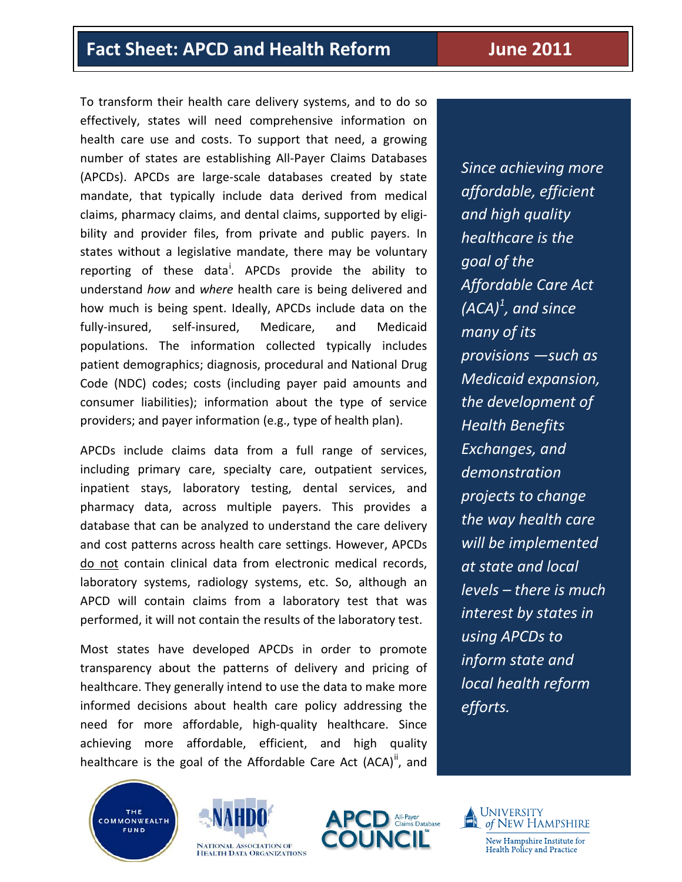# **Fact Sheet: APCD and Health Reform June 2011**

To transform their health care delivery systems, and to do so effectively, states will need comprehensive information on health care use and costs. To support that need, a growing number of states are establishing All-Payer Claims Databases (APCDs). APCDs are large-scale databases created by state mandate, that typically include data derived from medical claims, pharmacy claims, and dental claims, supported by eligibility and provider files, from private and public payers. In states without a legislative mandate, there may be voluntary report[i](#page-3-0)ng of these data<sup>i</sup>. APCDs provide the ability to understand *how* and *where* health care is being delivered and how much is being spent. Ideally, APCDs include data on the fully-insured, self-insured, Medicare, and Medicaid populations. The information collected typically includes patient demographics; diagnosis, procedural and National Drug Code (NDC) codes; costs (including payer paid amounts and consumer liabilities); information about the type of service providers; and payer information (e.g., type of health plan).

APCDs include claims data from a full range of services, including primary care, specialty care, outpatient services, inpatient stays, laboratory testing, dental services, and pharmacy data, across multiple payers. This provides a database that can be analyzed to understand the care delivery and cost patterns across health care settings. However, APCDs do not contain clinical data from electronic medical records, laboratory systems, radiology systems, etc. So, although an APCD will contain claims from a laboratory test that was performed, it will not contain the results of the laboratory test.

Most states have developed APCDs in order to promote transparency about the patterns of delivery and pricing of healthcare. They generally intend to use the data to make more informed decisions about health care policy addressing the need for more affordable, high-quality healthcare. Since achieving more affordable, efficient, and high quality healthcare is the goal of the Affordable Care Act  $(ACA)^n$ , and









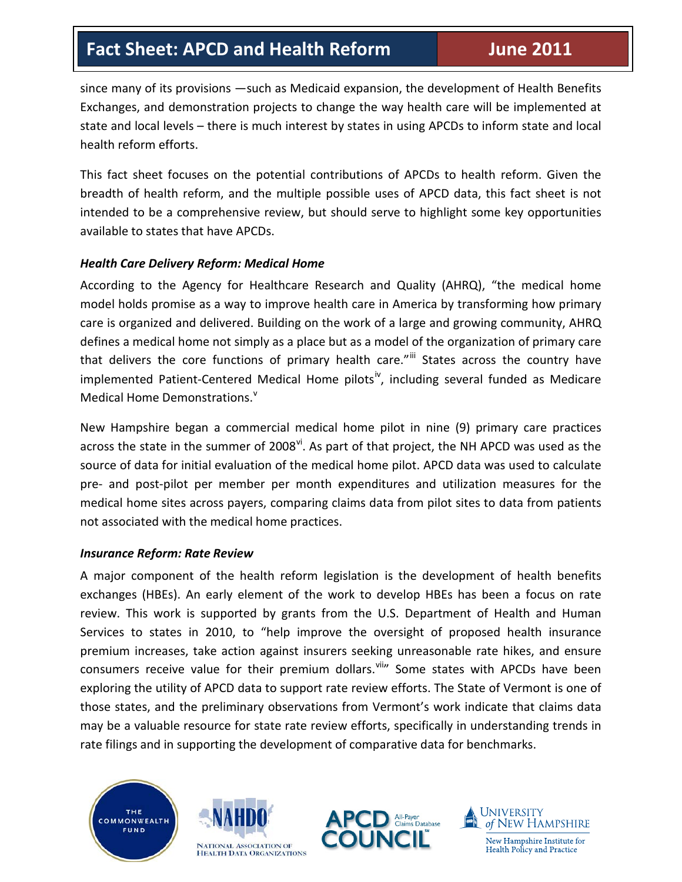# **Fact Sheet: APCD and Health Reform June 2011**

since many of its provisions —such as Medicaid expansion, the development of Health Benefits Exchanges, and demonstration projects to change the way health care will be implemented at state and local levels – there is much interest by states in using APCDs to inform state and local health reform efforts.

This fact sheet focuses on the potential contributions of APCDs to health reform. Given the breadth of health reform, and the multiple possible uses of APCD data, this fact sheet is not intended to be a comprehensive review, but should serve to highlight some key opportunities available to states that have APCDs.

## *Health Care Delivery Reform: Medical Home*

According to the Agency for Healthcare Research and Quality (AHRQ), "the medical home model holds promise as a way to improve health care in America by transforming how primary care is organized and delivered. Building on the work of a large and growing community, AHRQ defines a medical home not simply as a place but as a model of the organization of primary care that delivers the core functions of primary health care."<sup>[iii](#page-3-2)</sup> States across the country have implemented Patient-Centered Medical Home pilots<sup>[iv](#page-3-3)</sup>, including several funded as Medicare Medical Home Demonstrations.<sup>[v](#page-3-4)</sup>

New Hampshire began a commercial medical home pilot in nine (9) primary care practices across the state in the summer of  $2008<sup>vi</sup>$ . As part of that project, the NH APCD was used as the source of data for initial evaluation of the medical home pilot. APCD data was used to calculate pre- and post-pilot per member per month expenditures and utilization measures for the medical home sites across payers, comparing claims data from pilot sites to data from patients not associated with the medical home practices.

#### *Insurance Reform: Rate Review*

A major component of the health reform legislation is the development of health benefits exchanges (HBEs). An early element of the work to develop HBEs has been a focus on rate review. This work is supported by grants from the U.S. Department of Health and Human Services to states in 2010, to "help improve the oversight of proposed health insurance premium increases, take action against insurers seeking unreasonable rate hikes, and ensure consumers receive value for their premium dollars. Viiii Some states with APCDs have been exploring the utility of APCD data to support rate review efforts. The State of Vermont is one of those states, and the preliminary observations from Vermont's work indicate that claims data may be a valuable resource for state rate review efforts, specifically in understanding trends in rate filings and in supporting the development of comparative data for benchmarks.







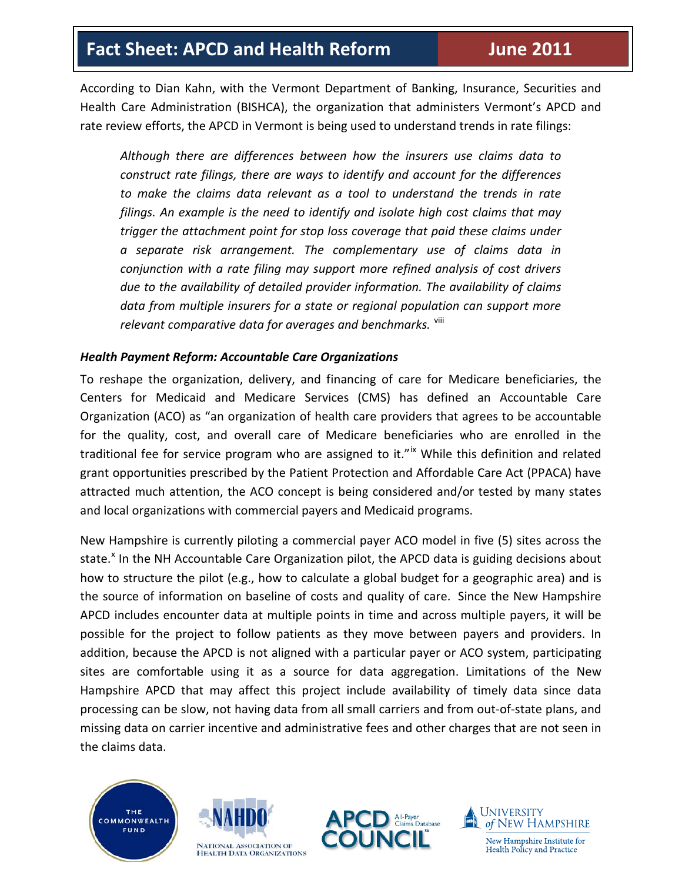According to Dian Kahn, with the Vermont Department of Banking, Insurance, Securities and Health Care Administration (BISHCA), the organization that administers Vermont's APCD and rate review efforts, the APCD in Vermont is being used to understand trends in rate filings:

*Although there are differences between how the insurers use claims data to construct rate filings, there are ways to identify and account for the differences to make the claims data relevant as a tool to understand the trends in rate filings. An example is the need to identify and isolate high cost claims that may trigger the attachment point for stop loss coverage that paid these claims under a separate risk arrangement. The complementary use of claims data in conjunction with a rate filing may support more refined analysis of cost drivers due to the availability of detailed provider information. The availability of claims data from multiple insurers for a state or regional population can support more relevant comparative data for averages and benchmarks.* [viii](#page-3-7)

## *Health Payment Reform: Accountable Care Organizations*

To reshape the organization, delivery, and financing of care for Medicare beneficiaries, the Centers for Medicaid and Medicare Services (CMS) has defined an Accountable Care Organization (ACO) as "an organization of health care providers that agrees to be accountable for the quality, cost, and overall care of Medicare beneficiaries who are enrolled in the traditional fee for service program who are assigned to it."<sup>[ix](#page-3-8)</sup> While this definition and related grant opportunities prescribed by the Patient Protection and Affordable Care Act (PPACA) have attracted much attention, the ACO concept is being considered and/or tested by many states and local organizations with commercial payers and Medicaid programs.

New Hampshire is currently piloting a commercial payer ACO model in five (5) sites across the state.<sup>[x](#page-3-9)</sup> In the NH Accountable Care Organization pilot, the APCD data is guiding decisions about how to structure the pilot (e.g., how to calculate a global budget for a geographic area) and is the source of information on baseline of costs and quality of care. Since the New Hampshire APCD includes encounter data at multiple points in time and across multiple payers, it will be possible for the project to follow patients as they move between payers and providers. In addition, because the APCD is not aligned with a particular payer or ACO system, participating sites are comfortable using it as a source for data aggregation. Limitations of the New Hampshire APCD that may affect this project include availability of timely data since data processing can be slow, not having data from all small carriers and from out-of-state plans, and missing data on carrier incentive and administrative fees and other charges that are not seen in the claims data.